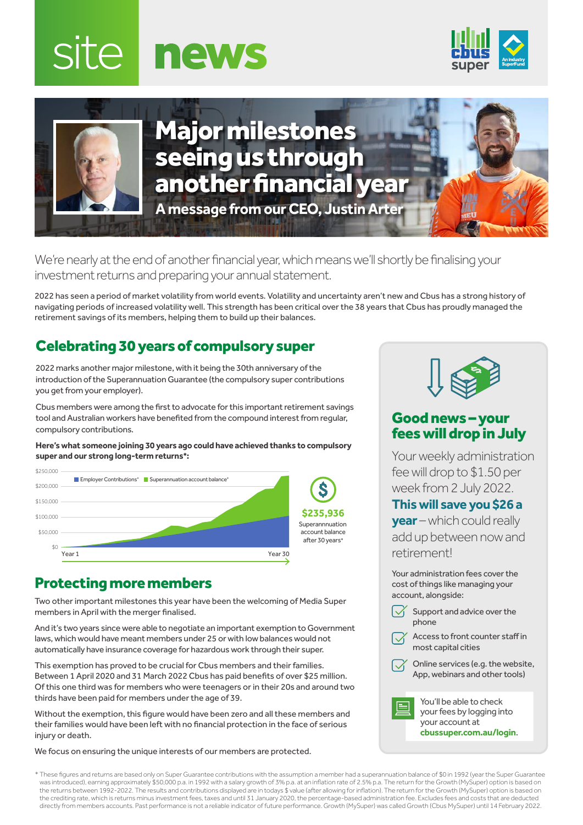





Major milestones seeing us through another financial year **A message from our CEO, Justin Arter**

We're nearly at the end of another financial year, which means we'll shortly be finalising your investment returns and preparing your annual statement.

2022 has seen a period of market volatility from world events. Volatility and uncertainty aren't new and Cbus has a strong history of navigating periods of increased volatility well. This strength has been critical over the 38 years that Cbus has proudly managed the retirement savings of its members, helping them to build up their balances.

# Celebrating 30 years of compulsory super

2022 marks another major milestone, with it being the 30th anniversary of the introduction of the Superannuation Guarantee (the compulsory super contributions you get from your employer).

Cbus members were among the first to advocate for this important retirement savings tool and Australian workers have benefited from the compound interest from regular, compulsory contributions.

**Here's what someone joining 30 years ago could have achieved thanks to compulsory super and our strong long-term returns\*:**



## Protecting more members

Two other important milestones this year have been the welcoming of Media Super members in April with the merger finalised.

And it's two years since were able to negotiate an important exemption to Government laws, which would have meant members under 25 or with low balances would not automatically have insurance coverage for hazardous work through their super.

This exemption has proved to be crucial for Cbus members and their families. Between 1 April 2020 and 31 March 2022 Cbus has paid benefits of over \$25 million. Of this one third was for members who were teenagers or in their 20s and around two thirds have been paid for members under the age of 39.

Without the exemption, this figure would have been zero and all these members and their families would have been left with no financial protection in the face of serious injury or death.

We focus on ensuring the unique interests of our members are protected.



## Good news – your fees will drop in July

Your weekly administration fee will drop to \$1.50 per week from 2 July 2022.

#### **This will save you \$26 a**

**year** – which could really add up between now and retirement!

Your administration fees cover the cost of things like managing your account, alongside:

- $\sqrt{\phantom{a}}$  Support and advice over the phone
- Access to front counter staff in most capital cities
- Online services (e.g. the website, App, webinars and other tools)

You'll be able to check your fees by logging into your account at **[cbussuper.com.au/login](https://www.cbussuper.com.au/login)**.

\* These figures and returns are based only on Super Guarantee contributions with the assumption a member had a superannuation balance of \$0 in 1992 (year the Super Guarantee was introduced), earning approximately \$50,000 p.a. in 1992 with a salary growth of 3% p.a. at an inflation rate of 2.5% p.a. The return for the Growth (MySuper) option is based on the returns between 1992-2022. The results and contributions displayed are in todays \$ value (after allowing for inflation). The return for the Growth (MySuper) option is based on the crediting rate, which is returns minus investment fees, taxes and until 31 January 2020, the percentage-based administration fee. Excludes fees and costs that are deducted directly from members accounts. Past performance is not a reliable indicator of future performance. Growth (MySuper) was called Growth (Cbus MySuper) until 14 February 2022.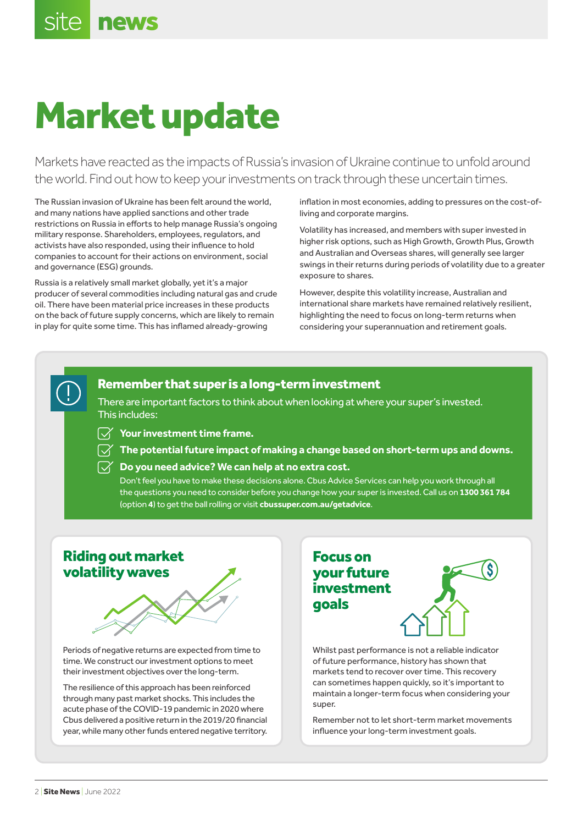# Market update

Markets have reacted as the impacts of Russia's invasion of Ukraine continue to unfold around the world. Find out how to keep your investments on track through these uncertain times.

The Russian invasion of Ukraine has been felt around the world, and many nations have applied sanctions and other trade restrictions on Russia in efforts to help manage Russia's ongoing military response. Shareholders, employees, regulators, and activists have also responded, using their influence to hold companies to account for their actions on environment, social and governance (ESG) grounds.

Russia is a relatively small market globally, yet it's a major producer of several commodities including natural gas and crude oil. There have been material price increases in these products on the back of future supply concerns, which are likely to remain in play for quite some time. This has inflamed already-growing

inflation in most economies, adding to pressures on the cost-ofliving and corporate margins.

Volatility has increased, and members with super invested in higher risk options, such as High Growth, Growth Plus, Growth and Australian and Overseas shares, will generally see larger swings in their returns during periods of volatility due to a greater exposure to shares.

However, despite this volatility increase, Australian and international share markets have remained relatively resilient, highlighting the need to focus on long-term returns when considering your superannuation and retirement goals.

## Remember that super is a long-term investment

There are important factors to think about when looking at where your super's invested. This includes:

- $\sqrt{ }$  Your investment time frame.
- $\overrightarrow{\gamma}$  The potential future impact of making a change based on short-term ups and downs.
- $\sqrt{\phantom{a}}$  Do vou need advice? We can help at no extra cost.

Don't feel you have to make these decisions alone. Cbus Advice Services can help you work through all the questions you need to consider before you change how your super is invested. Call us on **1300 361 784** (option **4**) to get the ball rolling or visit **[cbussuper.com.au/getadvice](https://www.cbussuper.com.au/getadvice)**.

## Riding out market volatility waves



Periods of negative returns are expected from time to time. We construct our investment options to meet their investment objectives over the long-term.

The resilience of this approach has been reinforced through many past market shocks. This includes the acute phase of the COVID-19 pandemic in 2020 where Cbus delivered a positive return in the 2019/20 financial year, while many other funds entered negative territory.

# Focus on your future investment goals



Whilst past performance is not a reliable indicator of future performance, history has shown that markets tend to recover over time. This recovery can sometimes happen quickly, so it's important to maintain a longer-term focus when considering your super.

Remember not to let short-term market movements influence your long-term investment goals.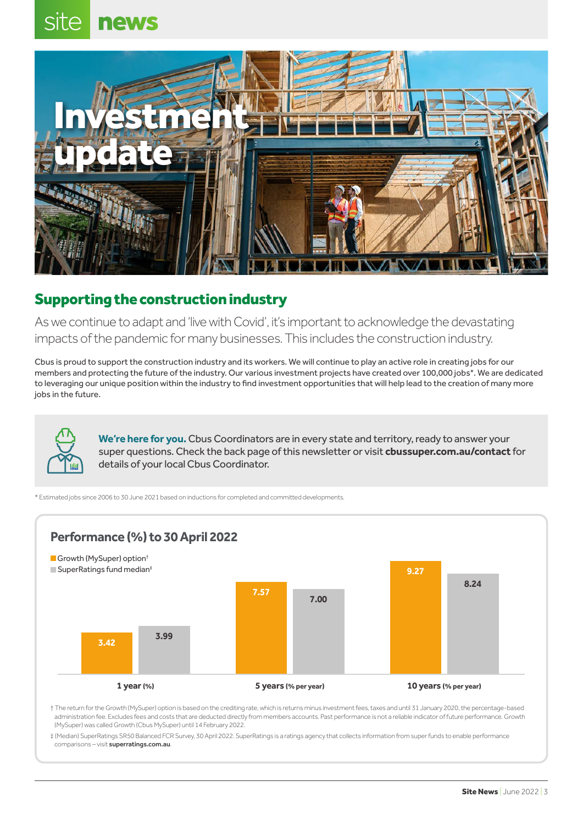## site **news**



# Supporting the construction industry

As we continue to adapt and 'live with Covid', it's important to acknowledge the devastating impacts of the pandemic for many businesses. This includes the construction industry.

Cbus is proud to support the construction industry and its workers. We will continue to play an active role in creating jobs for our members and protecting the future of the industry. Our various investment projects have created over 100,000 jobs\*. We are dedicated to leveraging our unique position within the industry to find investment opportunities that will help lead to the creation of many more jobs in the future.

> **We're here for you.**Cbus Coordinators are in every state and territory, ready to answer your super questions. Check the back page of this newsletter or visit **[cbussuper.com.au/contact](https://www.cbussuper.com.au/contact)** for details of your local Cbus Coordinator.

\* Estimated jobs since 2006 to 30 June 2021 based on inductions for completed and committed developments.



† The return for the Growth (MySuper) option is based on the crediting rate, which is returns minus investment fees, taxes and until 31 January 2020, the percentage-based administration fee. Excludes fees and costs that are deducted directly from members accounts. Past performance is not a reliable indicator of future performance. Growth (MySuper) was called Growth (Cbus MySuper) until 14 February 2022.

‡ (Median) SuperRatings SR50 Balanced FCR Survey, 30 April 2022. SuperRatings is a ratings agency that collects information from super funds to enable performance comparisons – visit [superratings.com.au](http://www.superratings.com.au).